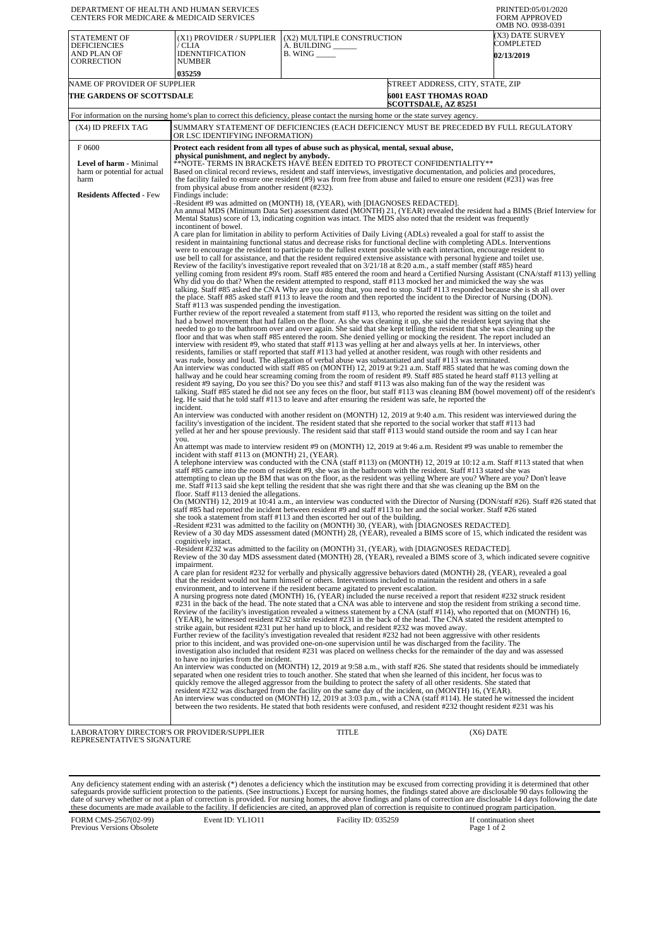| DEPARTMENT OF HEALTH AND HUMAN SERVICES<br><b>CENTERS FOR MEDICARE &amp; MEDICAID SERVICES</b>              |                                                                                                                                                                                                                                                                                                                                                                                                             |                                                                                                                                                                                                                                                                                                                                                                                                                                                                                                                                                                                                                                                                                                                                                                                                                                                                                                                                                                                                                                                                                                                                                                                                                                                                                                                                                                                                                                                                                                                                                                                                                                                                                                                                                                                                                                                                                                                                                                                                                                                                                                                                                                                                                                                                                                                                                                                                                                                                                                                                                                                                                                                                                                                                                                                                                                                                                                                                                                                                                                                                                                                                                                                                                                                                                                                                                                                                                                                                                                                                                                                                                                                                                                                                                                                                                                                                                                                                                                                                                                                                                                                                                                                                                                                                                                                                                                                                         | PRINTED:05/01/2020<br><b>FORM APPROVED</b><br>OMB NO. 0938-0391                                                                                                                                                                                                                                                                                                                                                                                                                                                                                                                                                                                                                                                                                                                                                                                                                                                                                                                                                                                                                                                                                                                                                                                                                                                                                                                                                                                                                                                                                                                                                                                                                                                                                                                                                                                                                                                                                                                                                                                                                                                                                                                                                                                                                                                                                                                                                                                                                                                |  |
|-------------------------------------------------------------------------------------------------------------|-------------------------------------------------------------------------------------------------------------------------------------------------------------------------------------------------------------------------------------------------------------------------------------------------------------------------------------------------------------------------------------------------------------|---------------------------------------------------------------------------------------------------------------------------------------------------------------------------------------------------------------------------------------------------------------------------------------------------------------------------------------------------------------------------------------------------------------------------------------------------------------------------------------------------------------------------------------------------------------------------------------------------------------------------------------------------------------------------------------------------------------------------------------------------------------------------------------------------------------------------------------------------------------------------------------------------------------------------------------------------------------------------------------------------------------------------------------------------------------------------------------------------------------------------------------------------------------------------------------------------------------------------------------------------------------------------------------------------------------------------------------------------------------------------------------------------------------------------------------------------------------------------------------------------------------------------------------------------------------------------------------------------------------------------------------------------------------------------------------------------------------------------------------------------------------------------------------------------------------------------------------------------------------------------------------------------------------------------------------------------------------------------------------------------------------------------------------------------------------------------------------------------------------------------------------------------------------------------------------------------------------------------------------------------------------------------------------------------------------------------------------------------------------------------------------------------------------------------------------------------------------------------------------------------------------------------------------------------------------------------------------------------------------------------------------------------------------------------------------------------------------------------------------------------------------------------------------------------------------------------------------------------------------------------------------------------------------------------------------------------------------------------------------------------------------------------------------------------------------------------------------------------------------------------------------------------------------------------------------------------------------------------------------------------------------------------------------------------------------------------------------------------------------------------------------------------------------------------------------------------------------------------------------------------------------------------------------------------------------------------------------------------------------------------------------------------------------------------------------------------------------------------------------------------------------------------------------------------------------------------------------------------------------------------------------------------------------------------------------------------------------------------------------------------------------------------------------------------------------------------------------------------------------------------------------------------------------------------------------------------------------------------------------------------------------------------------------------------------------------------------------------------------------------------------------------------------|----------------------------------------------------------------------------------------------------------------------------------------------------------------------------------------------------------------------------------------------------------------------------------------------------------------------------------------------------------------------------------------------------------------------------------------------------------------------------------------------------------------------------------------------------------------------------------------------------------------------------------------------------------------------------------------------------------------------------------------------------------------------------------------------------------------------------------------------------------------------------------------------------------------------------------------------------------------------------------------------------------------------------------------------------------------------------------------------------------------------------------------------------------------------------------------------------------------------------------------------------------------------------------------------------------------------------------------------------------------------------------------------------------------------------------------------------------------------------------------------------------------------------------------------------------------------------------------------------------------------------------------------------------------------------------------------------------------------------------------------------------------------------------------------------------------------------------------------------------------------------------------------------------------------------------------------------------------------------------------------------------------------------------------------------------------------------------------------------------------------------------------------------------------------------------------------------------------------------------------------------------------------------------------------------------------------------------------------------------------------------------------------------------------------------------------------------------------------------------------------------------------|--|
| STATEMENT OF<br><b>DEFICIENCIES</b><br>AND PLAN OF<br>CORRECTION                                            | (X1) PROVIDER / SUPPLIER<br>/ CLIA<br><b>IDENNTIFICATION</b><br><b>NUMBER</b><br>035259                                                                                                                                                                                                                                                                                                                     | (X2) MULTIPLE CONSTRUCTION<br>A. BUILDING<br>$B.$ WING $\_\_\_\_\_\_\_\$                                                                                                                                                                                                                                                                                                                                                                                                                                                                                                                                                                                                                                                                                                                                                                                                                                                                                                                                                                                                                                                                                                                                                                                                                                                                                                                                                                                                                                                                                                                                                                                                                                                                                                                                                                                                                                                                                                                                                                                                                                                                                                                                                                                                                                                                                                                                                                                                                                                                                                                                                                                                                                                                                                                                                                                                                                                                                                                                                                                                                                                                                                                                                                                                                                                                                                                                                                                                                                                                                                                                                                                                                                                                                                                                                                                                                                                                                                                                                                                                                                                                                                                                                                                                                                                                                                                                | (X3) DATE SURVEY<br>COMPLETED<br><b>02/13/2019</b>                                                                                                                                                                                                                                                                                                                                                                                                                                                                                                                                                                                                                                                                                                                                                                                                                                                                                                                                                                                                                                                                                                                                                                                                                                                                                                                                                                                                                                                                                                                                                                                                                                                                                                                                                                                                                                                                                                                                                                                                                                                                                                                                                                                                                                                                                                                                                                                                                                                             |  |
| NAME OF PROVIDER OF SUPPLIER<br>THE GARDENS OF SCOTTSDALE                                                   |                                                                                                                                                                                                                                                                                                                                                                                                             | STREET ADDRESS, CITY, STATE, ZIP<br><b>6001 EAST THOMAS ROAD</b><br><b>SCOTTSDALE, AZ 85251</b>                                                                                                                                                                                                                                                                                                                                                                                                                                                                                                                                                                                                                                                                                                                                                                                                                                                                                                                                                                                                                                                                                                                                                                                                                                                                                                                                                                                                                                                                                                                                                                                                                                                                                                                                                                                                                                                                                                                                                                                                                                                                                                                                                                                                                                                                                                                                                                                                                                                                                                                                                                                                                                                                                                                                                                                                                                                                                                                                                                                                                                                                                                                                                                                                                                                                                                                                                                                                                                                                                                                                                                                                                                                                                                                                                                                                                                                                                                                                                                                                                                                                                                                                                                                                                                                                                                         |                                                                                                                                                                                                                                                                                                                                                                                                                                                                                                                                                                                                                                                                                                                                                                                                                                                                                                                                                                                                                                                                                                                                                                                                                                                                                                                                                                                                                                                                                                                                                                                                                                                                                                                                                                                                                                                                                                                                                                                                                                                                                                                                                                                                                                                                                                                                                                                                                                                                                                                |  |
|                                                                                                             |                                                                                                                                                                                                                                                                                                                                                                                                             | For information on the nursing home's plan to correct this deficiency, please contact the nursing home or the state survey agency.                                                                                                                                                                                                                                                                                                                                                                                                                                                                                                                                                                                                                                                                                                                                                                                                                                                                                                                                                                                                                                                                                                                                                                                                                                                                                                                                                                                                                                                                                                                                                                                                                                                                                                                                                                                                                                                                                                                                                                                                                                                                                                                                                                                                                                                                                                                                                                                                                                                                                                                                                                                                                                                                                                                                                                                                                                                                                                                                                                                                                                                                                                                                                                                                                                                                                                                                                                                                                                                                                                                                                                                                                                                                                                                                                                                                                                                                                                                                                                                                                                                                                                                                                                                                                                                                      |                                                                                                                                                                                                                                                                                                                                                                                                                                                                                                                                                                                                                                                                                                                                                                                                                                                                                                                                                                                                                                                                                                                                                                                                                                                                                                                                                                                                                                                                                                                                                                                                                                                                                                                                                                                                                                                                                                                                                                                                                                                                                                                                                                                                                                                                                                                                                                                                                                                                                                                |  |
| (X4) ID PREFIX TAG                                                                                          | OR LSC IDENTIFYING INFORMATION)                                                                                                                                                                                                                                                                                                                                                                             |                                                                                                                                                                                                                                                                                                                                                                                                                                                                                                                                                                                                                                                                                                                                                                                                                                                                                                                                                                                                                                                                                                                                                                                                                                                                                                                                                                                                                                                                                                                                                                                                                                                                                                                                                                                                                                                                                                                                                                                                                                                                                                                                                                                                                                                                                                                                                                                                                                                                                                                                                                                                                                                                                                                                                                                                                                                                                                                                                                                                                                                                                                                                                                                                                                                                                                                                                                                                                                                                                                                                                                                                                                                                                                                                                                                                                                                                                                                                                                                                                                                                                                                                                                                                                                                                                                                                                                                                         | SUMMARY STATEMENT OF DEFICIENCIES (EACH DEFICIENCY MUST BE PRECEDED BY FULL REGULATORY                                                                                                                                                                                                                                                                                                                                                                                                                                                                                                                                                                                                                                                                                                                                                                                                                                                                                                                                                                                                                                                                                                                                                                                                                                                                                                                                                                                                                                                                                                                                                                                                                                                                                                                                                                                                                                                                                                                                                                                                                                                                                                                                                                                                                                                                                                                                                                                                                         |  |
| F0600<br>Level of harm - Minimal<br>harm or potential for actual<br>harm<br><b>Residents Affected - Few</b> | physical punishment, and neglect by anybody.<br>from physical abuse from another resident (#232).<br>Findings include:<br>incontinent of bowel.<br>Staff #113 was suspended pending the investigation.<br>incident.<br>you.<br>incident with staff #113 on (MONTH) 21, (YEAR).<br>floor. Staff #113 denied the allegations.<br>cognitively intact.<br>impairment.<br>to have no injuries from the incident. | Protect each resident from all types of abuse such as physical, mental, sexual abuse,<br>**NOTE- TERMS IN BRACKETS HAVE BEEN EDITED TO PROTECT CONFIDENTIALITY**<br>Based on clinical record reviews, resident and staff interviews, investigative documentation, and policies and procedures,<br>the facility failed to ensure one resident $(49)$ was from free from abuse and failed to ensure one resident $(4231)$ was free<br>-Resident #9 was admitted on (MONTH) 18, (YEAR), with [DIAGNOSES REDACTED].<br>Mental Status) score of 13, indicating cognition was intact. The MDS also noted that the resident was frequently<br>A care plan for limitation in ability to perform Activities of Daily Living (ADLs) revealed a goal for staff to assist the<br>resident in maintaining functional status and decrease risks for functional decline with completing ADLs. Interventions<br>were to encourage the resident to participate to the fullest extent possible with each interaction, encourage resident to<br>use bell to call for assistance, and that the resident required extensive assistance with personal hygiene and toilet use.<br>Review of the facility's investigative report revealed that on $3/21/18$ at 8:20 a.m., a staff member (staff #85) heard<br>Why did you do that? When the resident attempted to respond, staff #113 mocked her and mimicked the way she was<br>the place. Staff #85 asked staff #113 to leave the room and then reported the incident to the Director of Nursing (DON).<br>Further review of the report revealed a statement from staff #113, who reported the resident was sitting on the toilet and<br>had a bowel movement that had fallen on the floor. As she was cleaning it up, she said the resident kept saying that she<br>needed to go to the bathroom over and over again. She said that she kept telling the resident that she was cleaning up the<br>floor and that was when staff #85 entered the room. She denied yelling or mocking the resident. The report included an<br>interview with resident #9, who stated that staff #113 was yelling at her and always yells at her. In interviews, other<br>residents, families or staff reported that staff #113 had yelled at another resident, was rough with other residents and<br>was rude, bossy and loud. The allegation of verbal abuse was substantiated and staff #113 was terminated.<br>hallway and he could hear screaming coming from the room of resident #9. Staff #85 stated he heard staff #113 yelling at<br>resident #9 saying, Do you see this? Do you see this? and staff #113 was also making fun of the way the resident was<br>leg. He said that he told staff #113 to leave and after ensuring the resident was safe, he reported the<br>facility's investigation of the incident. The resident stated that she reported to the social worker that staff #113 had<br>yelled at her and her spouse previously. The resident said that staff #113 would stand outside the room and say I can hear<br>staff #85 came into the room of resident #9, she was in the bathroom with the resident. Staff #113 stated she was<br>me. Staff #113 said she kept telling the resident that she was right there and that she was cleaning up the BM on the<br>staff #85 had reported the incident between resident #9 and staff #113 to her and the social worker. Staff #26 stated<br>she took a statement from staff #113 and then escorted her out of the building.<br>-Resident #231 was admitted to the facility on (MONTH) 30, (YEAR), with [DIAGNOSES REDACTED].<br>-Resident #232 was admitted to the facility on (MONTH) 31, (YEAR), with [DIAGNOSES REDACTED].<br>that the resident would not harm himself or others. Interventions included to maintain the resident and others in a safe<br>environment, and to intervene if the resident became agitated to prevent escalation.<br>strike again, but resident #231 put her hand up to block, and resident #232 was moved away.<br>Further review of the facility's investigation revealed that resident #232 had not been aggressive with other residents<br>prior to this incident, and was provided one-on-one supervision until he was discharged from the facility. The<br>separated when one resident tries to touch another. She stated that when she learned of this incident, her focus was to | An annual MDS (Minimum Data Set) assessment dated (MONTH) 21, (YEAR) revealed the resident had a BIMS (Brief Interview for<br>yelling coming from resident #9's room. Staff #85 entered the room and heard a Certified Nursing Assistant (CNA/staff #113) yelling<br>talking. Staff #85 asked the CNA Why are you doing that, you need to stop. Staff #113 responded because she is sh all over<br>An interview was conducted with staff #85 on (MONTH) 12, 2019 at 9:21 a.m. Staff #85 stated that he was coming down the<br>talking. Staff #85 stated he did not see any feces on the floor, but staff #113 was cleaning BM (bowel movement) off of the resident's<br>An interview was conducted with another resident on (MONTH) 12, 2019 at 9:40 a.m. This resident was interviewed during the<br>An attempt was made to interview resident #9 on (MONTH) 12, 2019 at 9:46 a.m. Resident #9 was unable to remember the<br>A telephone interview was conducted with the CNA (staff #113) on (MONTH) 12, 2019 at 10:12 a.m. Staff #113 stated that when<br>attempting to clean up the BM that was on the floor, as the resident was yelling Where are you? Where are you? Don't leave<br>On (MONTH) 12, 2019 at 10:41 a.m., an interview was conducted with the Director of Nursing (DON/staff #26). Staff #26 stated that<br>Review of a 30 day MDS assessment dated (MONTH) 28, (YEAR), revealed a BIMS score of 15, which indicated the resident was<br>Review of the 30 day MDS assessment dated (MONTH) 28, (YEAR), revealed a BIMS score of 3, which indicated severe cognitive<br>A care plan for resident #232 for verbally and physically aggressive behaviors dated (MONTH) 28, (YEAR), revealed a goal<br>A nursing progress note dated (MONTH) 16, (YEAR) included the nurse received a report that resident #232 struck resident<br>#231 in the back of the head. The note stated that a CNA was able to intervene and stop the resident from striking a second time.<br>Review of the facility's investigation revealed a witness statement by a CNA (staff #114), who reported that on (MONTH) 16,<br>(YEAR), he witnessed resident #232 strike resident #231 in the back of the head. The CNA stated the resident attempted to<br>investigation also included that resident #231 was placed on wellness checks for the remainder of the day and was assessed<br>An interview was conducted on (MONTH) 12, 2019 at 9:58 a.m., with staff #26. She stated that residents should be immediately |  |
|                                                                                                             |                                                                                                                                                                                                                                                                                                                                                                                                             | quickly remove the alleged aggressor from the building to protect the safety of all other residents. She stated that<br>resident #232 was discharged from the facility on the same day of the incident, on (MONTH) 16, (YEAR).<br>between the two residents. He stated that both residents were confused, and resident #232 thought resident #231 was his                                                                                                                                                                                                                                                                                                                                                                                                                                                                                                                                                                                                                                                                                                                                                                                                                                                                                                                                                                                                                                                                                                                                                                                                                                                                                                                                                                                                                                                                                                                                                                                                                                                                                                                                                                                                                                                                                                                                                                                                                                                                                                                                                                                                                                                                                                                                                                                                                                                                                                                                                                                                                                                                                                                                                                                                                                                                                                                                                                                                                                                                                                                                                                                                                                                                                                                                                                                                                                                                                                                                                                                                                                                                                                                                                                                                                                                                                                                                                                                                                                               | An interview was conducted on (MONTH) 12, 2019 at 3:03 p.m., with a CNA (staff #114). He stated he witnessed the incident                                                                                                                                                                                                                                                                                                                                                                                                                                                                                                                                                                                                                                                                                                                                                                                                                                                                                                                                                                                                                                                                                                                                                                                                                                                                                                                                                                                                                                                                                                                                                                                                                                                                                                                                                                                                                                                                                                                                                                                                                                                                                                                                                                                                                                                                                                                                                                                      |  |
| LABORATORY DIRECTOR'S OR PROVIDER/SUPPLIER                                                                  |                                                                                                                                                                                                                                                                                                                                                                                                             | <b>TITLE</b>                                                                                                                                                                                                                                                                                                                                                                                                                                                                                                                                                                                                                                                                                                                                                                                                                                                                                                                                                                                                                                                                                                                                                                                                                                                                                                                                                                                                                                                                                                                                                                                                                                                                                                                                                                                                                                                                                                                                                                                                                                                                                                                                                                                                                                                                                                                                                                                                                                                                                                                                                                                                                                                                                                                                                                                                                                                                                                                                                                                                                                                                                                                                                                                                                                                                                                                                                                                                                                                                                                                                                                                                                                                                                                                                                                                                                                                                                                                                                                                                                                                                                                                                                                                                                                                                                                                                                                                            | $(X6)$ DATE                                                                                                                                                                                                                                                                                                                                                                                                                                                                                                                                                                                                                                                                                                                                                                                                                                                                                                                                                                                                                                                                                                                                                                                                                                                                                                                                                                                                                                                                                                                                                                                                                                                                                                                                                                                                                                                                                                                                                                                                                                                                                                                                                                                                                                                                                                                                                                                                                                                                                                    |  |

PROVIDER/SUPPLIER REPRESENTATIVE'S SIGNATURE

Any deficiency statement ending with an asterisk (\*) denotes a deficiency which the institution may be excused from correcting providing it is determined that other safeguards provide sufficient protection to the patients.

FORM CMS-2567(02-99) Previous Versions Obsolete

Event ID: YL1O11 Facility ID: 035259 If continuation sheet Page 1 of 2